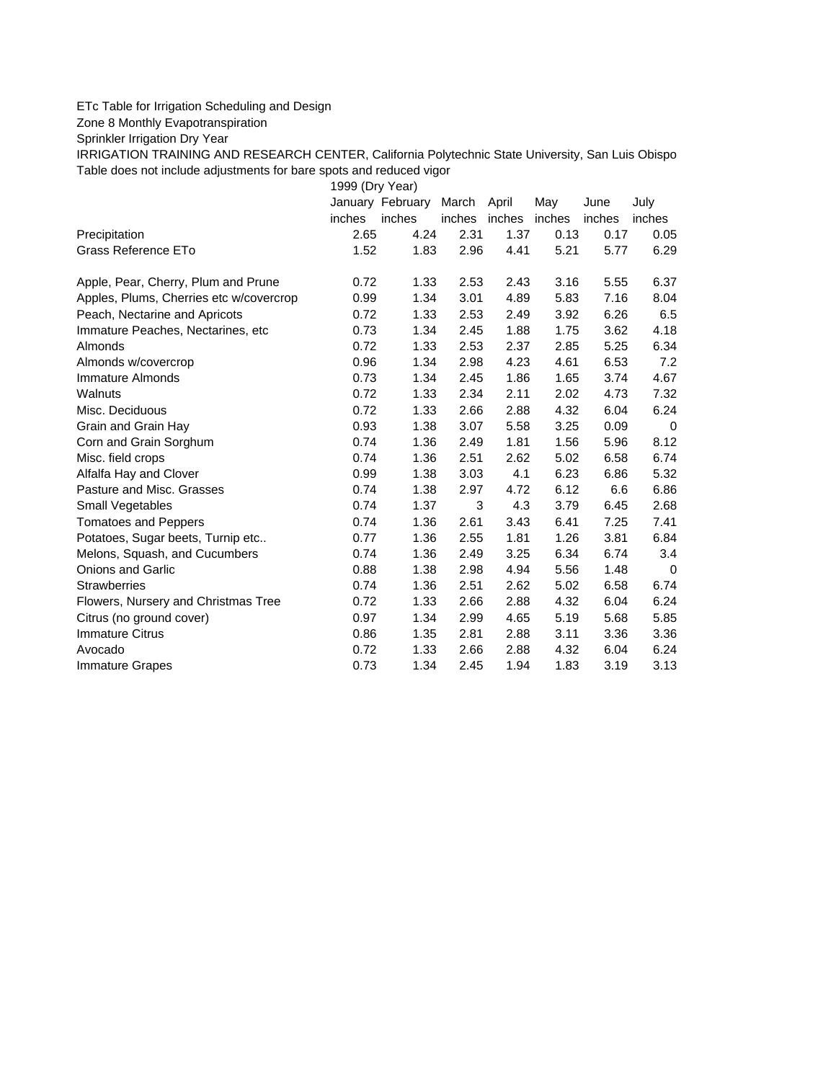## ETc Table for Irrigation Scheduling and Design

Zone 8 Monthly Evapotranspiration

Sprinkler Irrigation Dry Year

IRRIGATION TRAINING AND RESEARCH CENTER, California Polytechnic State University, San Luis Obispo Table does not include adjustments for bare spots and reduced vigor

1999 (Dry Year)

|                                         |        | January February | March  | April  | May    | June   | July   |
|-----------------------------------------|--------|------------------|--------|--------|--------|--------|--------|
|                                         | inches | inches           | inches | inches | inches | inches | inches |
| Precipitation                           | 2.65   | 4.24             | 2.31   | 1.37   | 0.13   | 0.17   | 0.05   |
| Grass Reference ETo                     | 1.52   | 1.83             | 2.96   | 4.41   | 5.21   | 5.77   | 6.29   |
| Apple, Pear, Cherry, Plum and Prune     | 0.72   | 1.33             | 2.53   | 2.43   | 3.16   | 5.55   | 6.37   |
| Apples, Plums, Cherries etc w/covercrop | 0.99   | 1.34             | 3.01   | 4.89   | 5.83   | 7.16   | 8.04   |
| Peach, Nectarine and Apricots           | 0.72   | 1.33             | 2.53   | 2.49   | 3.92   | 6.26   | 6.5    |
| Immature Peaches, Nectarines, etc       | 0.73   | 1.34             | 2.45   | 1.88   | 1.75   | 3.62   | 4.18   |
| Almonds                                 | 0.72   | 1.33             | 2.53   | 2.37   | 2.85   | 5.25   | 6.34   |
| Almonds w/covercrop                     | 0.96   | 1.34             | 2.98   | 4.23   | 4.61   | 6.53   | 7.2    |
| Immature Almonds                        | 0.73   | 1.34             | 2.45   | 1.86   | 1.65   | 3.74   | 4.67   |
| Walnuts                                 | 0.72   | 1.33             | 2.34   | 2.11   | 2.02   | 4.73   | 7.32   |
| Misc. Deciduous                         | 0.72   | 1.33             | 2.66   | 2.88   | 4.32   | 6.04   | 6.24   |
| Grain and Grain Hay                     | 0.93   | 1.38             | 3.07   | 5.58   | 3.25   | 0.09   | 0      |
| Corn and Grain Sorghum                  | 0.74   | 1.36             | 2.49   | 1.81   | 1.56   | 5.96   | 8.12   |
| Misc. field crops                       | 0.74   | 1.36             | 2.51   | 2.62   | 5.02   | 6.58   | 6.74   |
| Alfalfa Hay and Clover                  | 0.99   | 1.38             | 3.03   | 4.1    | 6.23   | 6.86   | 5.32   |
| Pasture and Misc. Grasses               | 0.74   | 1.38             | 2.97   | 4.72   | 6.12   | 6.6    | 6.86   |
| <b>Small Vegetables</b>                 | 0.74   | 1.37             | 3      | 4.3    | 3.79   | 6.45   | 2.68   |
| <b>Tomatoes and Peppers</b>             | 0.74   | 1.36             | 2.61   | 3.43   | 6.41   | 7.25   | 7.41   |
| Potatoes, Sugar beets, Turnip etc       | 0.77   | 1.36             | 2.55   | 1.81   | 1.26   | 3.81   | 6.84   |
| Melons, Squash, and Cucumbers           | 0.74   | 1.36             | 2.49   | 3.25   | 6.34   | 6.74   | 3.4    |
| <b>Onions and Garlic</b>                | 0.88   | 1.38             | 2.98   | 4.94   | 5.56   | 1.48   | 0      |
| <b>Strawberries</b>                     | 0.74   | 1.36             | 2.51   | 2.62   | 5.02   | 6.58   | 6.74   |
| Flowers, Nursery and Christmas Tree     | 0.72   | 1.33             | 2.66   | 2.88   | 4.32   | 6.04   | 6.24   |
| Citrus (no ground cover)                | 0.97   | 1.34             | 2.99   | 4.65   | 5.19   | 5.68   | 5.85   |
| <b>Immature Citrus</b>                  | 0.86   | 1.35             | 2.81   | 2.88   | 3.11   | 3.36   | 3.36   |
| Avocado                                 | 0.72   | 1.33             | 2.66   | 2.88   | 4.32   | 6.04   | 6.24   |
| <b>Immature Grapes</b>                  | 0.73   | 1.34             | 2.45   | 1.94   | 1.83   | 3.19   | 3.13   |